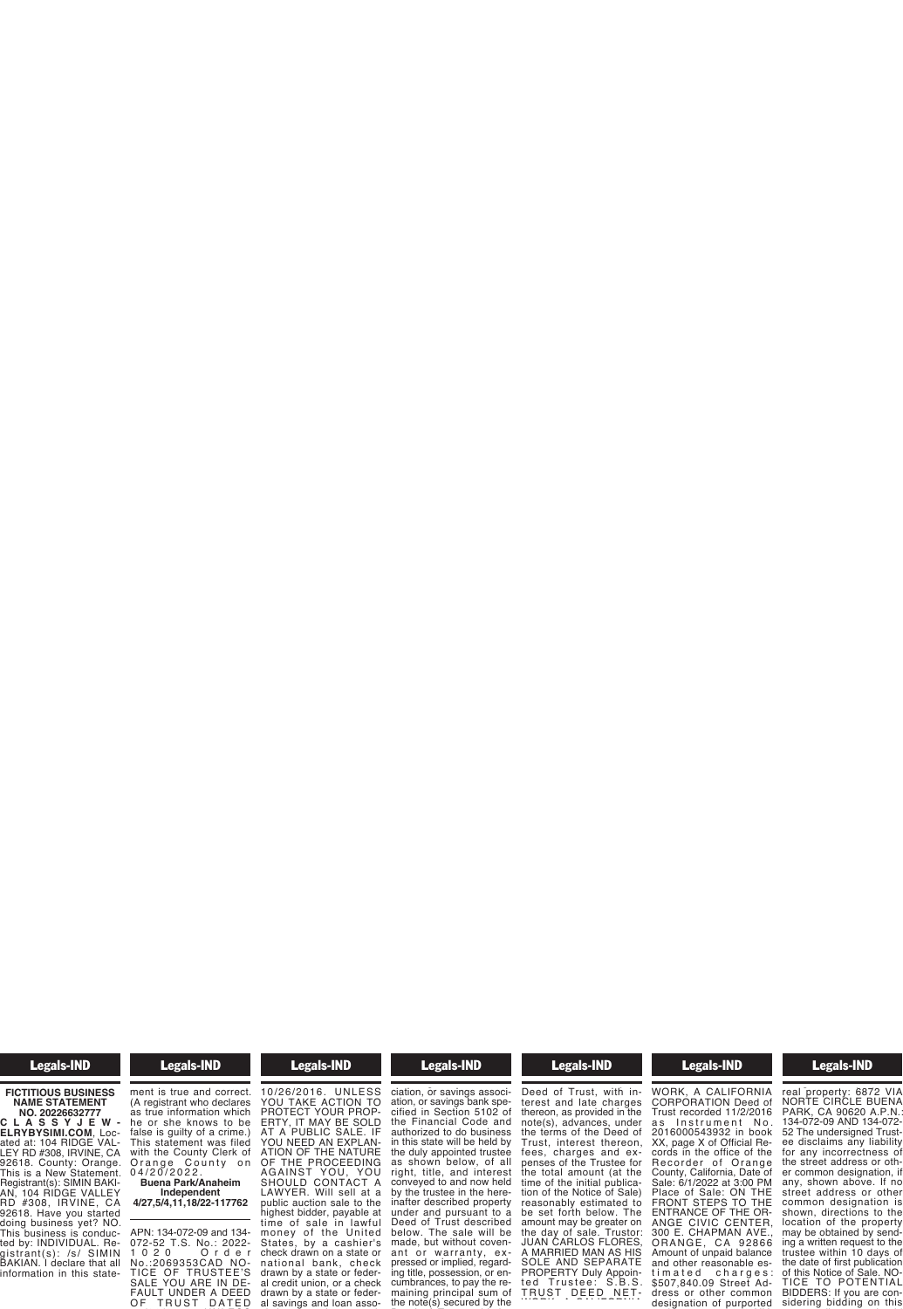## Legals-IND

## **FICTITIOUS BUSINESS NAME STATEMENT**

**NO. 20226632777 C L A S S Y J E W - ELRYBYSIMI.COM**, Located at: 104 RIDGE VAL-LEY RD #308, IRVINE, CA 92618. County: Orange. This is a New Statement. Registrant(s): SIMIN BAKI-AN, 104 RIDGE VALLEY RD #308, IRVINE, CA 92618. Have you started doing business yet? NO. This business is conducted by: INDIVIDUAL. Registrant(s): /s/ SIMIN BAKIAN. I declare that all information in this state-

#### **Example 18 Legals-IND** ted by: INDIVIDUAL. Re- $\overline{\phantom{a}}$  and  $\overline{\phantom{a}}$  declare that all  $\overline{\phantom{a}}$

information in this statement is true and correct. (A registrant who declares as true information which he or she knows to be false is guilty of a crime.) This statement was filed with the County Clerk of Orange County on 0 4 / 2 0 / 2 0 2 2 . **Buena Park/Anaheim**

**Independent 4/27,5/4,11,18/22-117762**

APN: 134-072-09 and 134- 072-52 T.S. No.: 2022- 1 0 2 0 O r d e r No.:2069353CAD NO-TICE OF TRUSTEE'S<br>SALE YOU ARE IN DE-SALE YOU ARE IN DE-<br>FAULT UNDER A DEED OF TRUST DATED

#### **Example 3 Legals-IND** TICE OF TRUSTEE'S  $\blacksquare$

10/26/2016. UNLESS 10/26/2016. UNLESS YOU TAKE ACTION TO PROTECT YOUR PROP-ERTY, IT MAY BE SOLD AT A PUBLIC SALE. IF YOU NEED AN EXPLAN-ATION OF THE NATURE OF THE PROCEEDING AGAINST YOU, YOU SHOULD CONTACT A LAWYER. Will sell at a public auction sale to the highest bidder, payable at time of sale in lawful<br>money of the United States, by a cashier's check drawn on a state or national bank, check drawn by a state or federal credit union, or a check drawn by a state or federal savings and loan asso-

#### **Exercise Legals-IND** drawn by a state or feder- $\overline{\phantom{a}}$  and  $\overline{\phantom{a}}$  and  $\overline{\phantom{a}}$

al savings and loan association, or savings association, or savings bank specified in Section 5102 of the Financial Code and authorized to do business in this state will be held by the duly appointed trustee as shown below, of all right, title, and interest conveyed to and now held by the trustee in the here-<br>inafter described property inafter described property under and pursuant to a Deed of Trust described below. The sale will be made, but without covenant or warranty, expressed or implied, regard-ing title, possession, or en-cumbrances, to pay the remaining principal sum of the note(s) secured by the

#### **Example 18 Legals-IND** ing title, possession, or en- $\frac{1}{2}$  property in  $\frac{1}{2}$ the note(s) secured by the

Deed of Trust, with interest and late charges thereon, as provided in the note(s), advances, under the terms of the Deed of Trust, interest thereon, fees, charges and expenses of the Trustee for the total amount (at the time of the initial publication of the Notice of Sale) reasonably estimated to be set forth below. The amount may be greater on<br>the day of sale. Trustor: JUAN CARLOS FLORES, A MARRIED MAN AS HIS SOLE AND SEPARATE PROPERTY Duly Appointed Trustee: S.B.S. THOT ENTT Daiy Appointed<br>ted Trustee: S.B.S.<br>TRUST DEED NET-

#### Legals-IND SOLE AND SEPARATE **Property Legislation**

 $t_{\rm s}$  =  $t_{\rm s}$  and  $t_{\rm s}$ . T R U ST D EE D EE D EE D EE D EE D WORK, A CALIFORNIA CORPORATION Deed of Trust recorded 11/2/2016 as Instrument No. 2016000543932 in book XX, page X of Official Records in the office of the Recorder of Orange County, California, Date of Sale: 6/1/2022 at 3:00 PM Place of Sale: ON THE FRONT STEPS TO THE ENTRANCE OF THE OR-ANGE CIVIC CENTER,<br>300 E. CHAPMAN AVE., ORANGE, CA 92866 Amount of unpaid balance and other reasonable estimated charges: \$507,840.09 Street Address or other common designation of purported

#### **Example 307, Street Advisory Section** t i m a t e d c h a r g e s :  $\overline{\phantom{a}}$  dress  $\overline{\phantom{a}}$

designation of purported real property: 6872 VIA NORTE CIRCLE BUENA PARK, CA 90620 A.P.N.: 134-072-09 AND 134-072- 52 The undersigned Trustee disclaims any liability for any incorrectness of the street address or other common designation, if any, shown above. If no street address or other common designation is shown, directions to the location of the property may be obtained by sending a written request to the trustee within 10 days of the date of first publication of this Notice of Sale. NO-TICE TO POTENTIAL BIDDERS: If you are considering bidding on this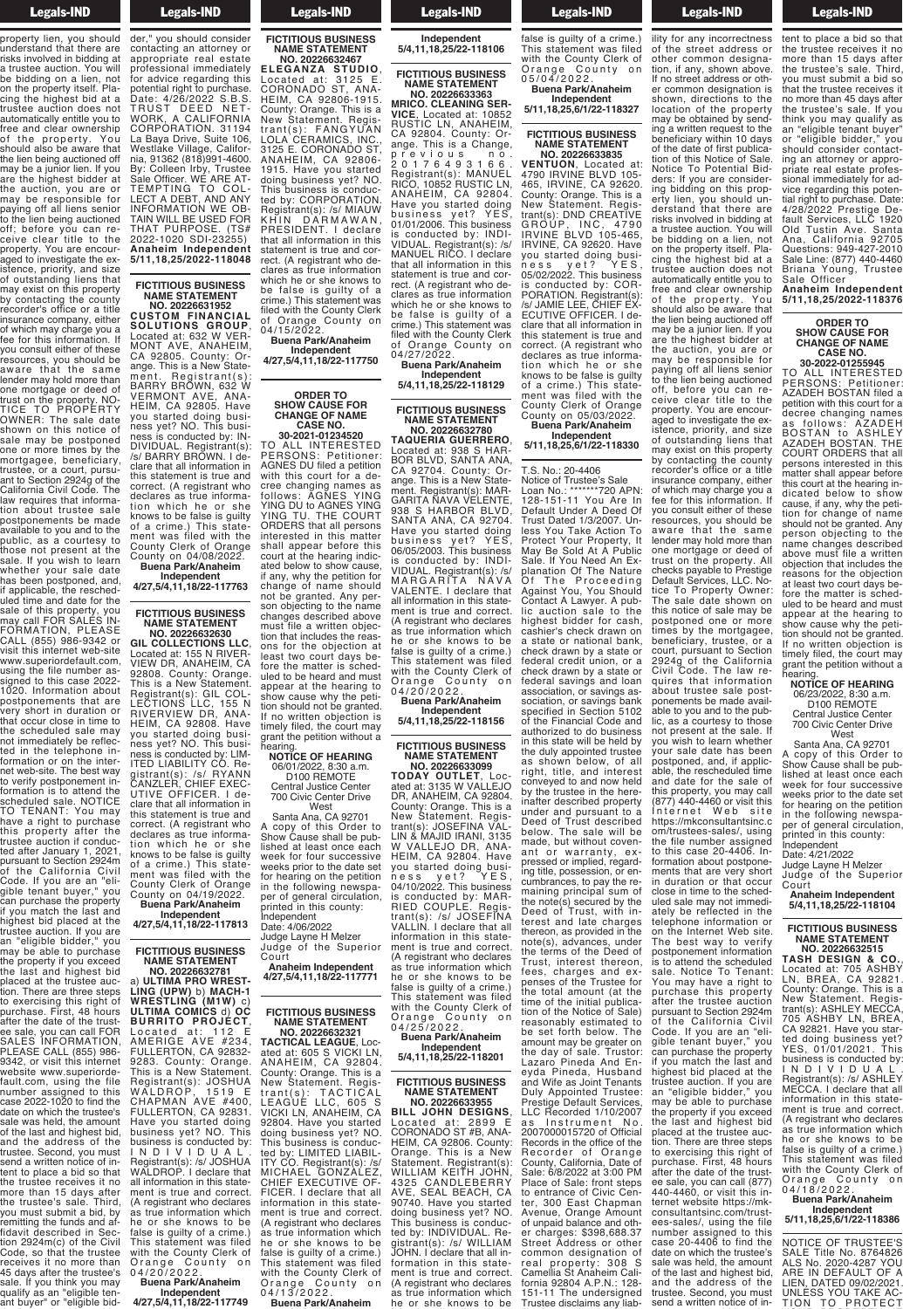**Example 18 Legals-IND**  $B<sub>2</sub>$  and  $C<sub>2</sub>$  in  $B<sub>2</sub>$ sidering bidding on this property lien, you should understand that there are risks involved in bidding at a trustee auction. You will be bidding on a lien, not on the property itself. Placing the highest bid at a trustee auction does not automatically entitle you to free and clear ownership of the property. You should also be aware that the lien being auctioned off may be a junior lien. If you are the highest bidder at the auction, you are or may be responsible for paying off all liens senior to the lien being auctioned off; before you can receive clear title to the property. You are encouraged to investigate the existence, priority, and size of outstanding liens that may exist on this property by contacting the county recorder's office or a title insurance company, either of which may charge you a of milion may onally you you consult either of these resources, you should be aware that the same lender may hold more than one mortgage or deed of one mortgage or deed of<br>trust on the property. NO-<br>TICE TO PROPERTY TICE TO PROPERTY OWNER: The sale date shown on this notice of sale may be postponed one or more times by the mortgagee, beneficiary, trustee, or a court, pursuant to Section 2924g of the California Civil Code. The law requires that information about trustee sale postponements be made available to you and to the public, as a courtesy to those not present at the sale. If you wish to learn whether your sale date has been postponed, and, if applicable, the rescheduled time and date for the sale of this property, you may call FOR SALES IN-FORMATION, PLEASE CALL (855) 986-9342 or visit this internet web-site www.superiordefault.com, using the file number assigned to this case 2022- 1020. Information about postponements that are very short in duration or that occur close in time to the scheduled sale may not immediately be reflected in the telephone information or on the internet web-site. The best way to verify postponement information is to attend the scheduled sale. NOTICE TO TENANT: You may have a right to purchase this property after the trustee auction if conducted after January 1, 2021, pursuant to Section 2924m of the California Civil Code. If you are an "eligible tenant buyer," you gible tenant buyer," you<br>can purchase the property

if you match the last and highest bid placed at the trustee auction. If you are an "eligible bidder," you may be able to purchase the property if you exceed the last and highest bid placed at the trustee auction. There are three steps to exercising this right of purchase. First, 48 hours after the date of the trustee sale, you can call FOR SALES INFORMATION, PLEASE CALL (855) 986- 9342, or visit this internet website www.superiordefault.com, using the file number assigned to this case 2022-1020 to find the date on which the trustee's sale was held, the amount of the last and highest bid, and the address of the trustee. Second, you must send a written notice of intent to place a bid so that the trustee receives it no more than 15 days after the trustee's sale. Third, you must submit a bid, by remitting the funds and af-<br>fidavit described in Section 2924m(c) of the Civil Code, so that the trustee receives it no more than 45 days after the trustee's sale. If you think you may qualify as an "eligible ten-

ant buyer" or "eligible bid-

0 4 / 2 0 / 2 0 2 2 .

#### **Example 18 Legals-IND**  $\blacksquare$

ant buyer or "eligible bidder," you should consider contacting an attorney or appropriate real estate professional immediately for advice regarding this potential right to purchase. Date: 4/26/2022 S.B.S. TRUST DEED NET-WORK, A CALIFORNIA CORPORATION. 31194 La Baya Drive, Suite 106, Westlake Village, California, 91362 (818)991-4600. By: Colleen Irby, Trustee Sale Officer. WE ARE AT-TEMPTING TO COL-LECT A DEBT, AND ANY INFORMATION WE OB-TAIN WILL BE USED FOR THAT PURPOSE. (TS# 2022-1020 SDI-23255) **Anaheim Independent 5/11,18,25/2022-118048**

## **FICTITIOUS BUSINESS NAME STATEMENT NO. 20226631952**

**CUSTOM FINANCIAL SOLUTIONS GROUP**, Located at: 632 W VER-MONT AVE, ANAHEIM, CA 92805. County: Orange. This is a New Statement. Registrant(s): BARRY BROWN, 632 W VERMONT AVE, ANA-HEIM, CA 92805. Have you started doing business yet? NO. This business is conducted by: IN-DIVIDUAL. Registrant(s): /s/ BARRY BROWN. I declare that all information in this statement is true and correct. (A registrant who declares as true information which he or she knows to be false is guilty of a crime.) This statement was filed with the County Clerk of Orange County on 04/08/2022. **Buena Park/Anaheim**

**Independent 4/27,5/4,11,18/22-117763**

**FICTITIOUS BUSINESS**

**NAME STATEMENT NO. 20226632630 GIL COLLECTIONS LLC**, Located at: 155 N RIVER-

VIEW DR, ANAHEIM, CA 92808. County: Orange. This is a New Statement. Registrant(s): GIL COL-LECTIONS LLC, 155 N RIVERVIEW DR, ANA-HEIM, CA 92808. Have you started doing business yet? NO. This business is conducted by: LIM-ITED LIABILITY CO. Registrant(s): /s/ RYANN CANZLER, CHIEF EXEC-UTIVE OFFICER. I declare that all information in this statement is true and correct. (A registrant who declares as true information which he or she knows to be false is guilty of a crime.) This statement was filed with the County Clerk of Orange County on 04/19/2022. **Buena Park/Anaheim**

**Independent 4/27,5/4,11,18/22-117813**

**FICTITIOUS BUSINESS NAME STATEMENT**

**NO. 20226632781** a) **ULTIMA PRO WREST-LING (UPW)** b) **MACH-1 WRESTLING (M1W)** c) **ULTIMA COMICS** d) **OC BURRITO PROJECT**, Located at: 112 E AMERIGE AVE #234, FULLERTON, CA 92832- 9283. County: Orange. This is a New Statement. Registrant(s): JOSHUA WALDROP, 1519 E CHAPMAN AVE #400, FULLERTON, CA 92831. Have you started doing business yet? NO. This business is conducted by: I N D I V I D U A L . Registrant(s): /s/ JOSHUA WALDROP. I declare that all information in this state ment is true and correct. (A registrant who declares A registrant who declares<br>as true information which<br>he or she knows to be he or she knows to be<br>false is guilty of a crime.) This statement was filed with the County Clerk of

**Buena Park/Anaheim Independent 4/27,5/4,11,18/22-117749**

Orange County on

Legals-IND **FICTITIOUS BUSINESS**

**NAME STATEMENT NO. 20226632467 ELEGANZA STUDIO**,

Located at: 3125 E. CORONADO ST, ANA-HEIM, CA 92806-1915. County: Orange. This is a New Statement. Registrant(s): FANGYUAN LOLA CERAMICS, INC., 3125 E. CORONADO ST, ANAHEIM, CA 92806- 1915. Have you started doing business yet? NO. This business is conducted by: CORPORATION. Registrant(s): /s/ MIAUW KHIN DARMAWAN, PRESIDENT. I declare that all information in this statement is true and correct. (A registrant who decost: (Trogionalit this as which he or she knows to be false is guilty of a crime.) This statement was filed with the County Clerk of Orange County on 04/15/2022.

**Buena Park/Anaheim Independent 4/27,5/4,11,18/22-117750**

## **ORDER TO SHOW CAUSE FOR CHANGE OF NAME CASE NO. 30-2021-01234520**

TO ALL INTERESTED PERSONS: Petitioner: AGNES DU filed a petition with this court for a decree changing names as<br>follows: AGNES YING follows: AGNES YING YING DU to AGNES YING YING TU. THE COURT ORDERS that all persons interested in this matter shall appear before this court at the hearing indicated below to show cause, if any, why the petition for change of name should not be granted. Any person objecting to the name changes described above must file a written objection that includes the reasons for the objection at least two court days before the matter is scheduled to be heard and must appear at the hearing to show cause why the petition should not be granted. If no written objection is timely filed, the court may grant the petition without a

hearing. **NOTICE OF HEARING** 06/01/2022, 8:30 a.m.

D100 REMOTE Central Justice Center 700 Civic Center Drive

West Santa Ana, CA 92701 A copy of this Order to Show Cause shall be published at least once each week for four successive weeks prior to the date set for hearing on the petition in the following newspaper of general circulation, printed in this county:

Independent Date: 4/06/2022 Judge Layne H Melzer Judge of the Superior Court **Anaheim Independent**

**4/27,5/4,11,18/22-117771**

## **FICTITIOUS BUSINESS NAME STATEMENT NO. 20226632321**

**TACTICAL LEAGUE**, Located at: 605 S VICKI LN, ANAHEIM, CA 92804. County: Orange. This is a New Statement. Registrant(s): TACTICAL LEAGUE LLC, 605 S VICKI LN, ANAHEIM, CA 92804. Have you started doing business yet? NO. This business is conduc-<br>ted by: LIMITED LIABIL-ITY CO. Registrant(s): /s/ MICHAEL GONZALEZ, CHIEF EXECUTIVE OF-FICER. I declare that all information in this statement is true and correct. (A registrant who declares<br>as true information which he or she knows to be false is guilty of a crime.) This statement was filed with the County Clerk of Orange County on

0 4 / 1 3 / 2 0 2 2 . **Buena Park/Anaheim**

## **Example 18 Legals-IND**  $\overline{\phantom{a}}$   $\overline{\phantom{a}}$   $\overline{\phantom{a}}$   $\overline{\phantom{a}}$   $\overline{\phantom{a}}$   $\overline{\phantom{a}}$   $\overline{\phantom{a}}$   $\overline{\phantom{a}}$   $\overline{\phantom{a}}$   $\overline{\phantom{a}}$   $\overline{\phantom{a}}$   $\overline{\phantom{a}}$   $\overline{\phantom{a}}$   $\overline{\phantom{a}}$   $\overline{\phantom{a}}$   $\overline{\phantom{a}}$   $\overline{\phantom{a}}$   $\overline{\phantom{a}}$   $\overline{\$

**Buena Park/Anaheim Independent 5/4,11,18,25/22-118106**

**FICTITIOUS BUSINESS NAME STATEMENT NO. 20226633363**

**MRICO. CLEANING SER-VICE**, Located at: 10852 RUSTIC LN, ANAHEIM, CA 92804. County: Or-<br>ange. This is a Change, ange. This is a Change, previous no. 2 0 1 7 6 4 9 3 1 6 6 . Registrant(s): MANUEL RICO, 10852 RUSTIC LN, ANAHEIM, CA 92804. Have you started doing business yet? YES, business yet? YES<br>01/01/2006. This business is conducted by: INDI-VIDUAL. Registrant(s): /s/ MANUEL RICO. I declare that all information in this statement is true and correct. (A registrant who declares as true information which he or she knows to be false is guilty of a crime.) This statement was filed with the County Clerk of Orange County on 04/27/2022. **Buena Park/Anaheim**

## **Independent 5/4,11,18,25/22-118129**

## **FICTITIOUS BUSINESS NAME STATEMENT NO. 20226632780**

**TAQUERIA GUERRERO**, Located at: 938 S HAR-BOR BLVD, SANTA ANA, CA 92704. County: Orange. This is a New Statement. Registrant(s): MAR-GARITA NAVA VELENTE, 938 S HARBOR BLVD, SANTA ANA, CA 92704. Have you started doing<br>business yet? YES business yet? YES, 06/05/2003. This business is conducted by: INDI-VIDUAL. Registrant(s): /s/ MARGARITA NAVA VALENTE. I declare that all information in this statement is true and correct. (A registrant who declares as true information which he or she knows to be false is guilty of a crime.) This statement was filed with the County Clerk of Orange County on 0 4 / 2 0 / 2 0 2 2 .

**Buena Park/Anaheim Independent 5/4,11,18,25/22-118156**

## **FICTITIOUS BUSINESS NAME STATEMENT NO. 20226633099**

**TODAY OUTLET**, Located at: 3135 W VALLEJO DR, ANAHEIM, CA 92804. County: Orange. This is a New Statement. Registrant(s): JOSEFINA VAL-LIN & MAJID IRANI, 3135 W VALLEJO DR, ANA-HEIM, CA 92804. Have you started doing business yet? YES, 04/10/2022. This business is conducted by: MAR-RIED COUPLE. Registrant(s): /s/ JOSEFINA VALLIN. I declare that all information in this statement is true and correct. (A registrant who declares as true information which<br>he or she knows to be he or she knows to be false is guilty of a crime.) This statement was filed with the County Clerk of Orange County on 0 4 / 2 5 / 2 0 2 2 . **Buena Park/Anaheim**

## **Independent 5/4,11,18,25/22-118201**

## **FICTITIOUS BUSINESS NAME STATEMENT**

**NO. 20226633955 BILL JOHN DESIGNS**, Located at: 2899 E<br>CORONADO ST#B.ANA CORONADO ST #B, ANA-HEIM, CA 92806. County: Orange. This is a New Statement. Registrant(s): WILLIAM KEITH JOHN, 4325 CANDLEBERRY AVE, SEAL BEACH, CA 90740. Have you started doing business yet? NO. This business is conducted by: INDIVIDUAL. Registrant(s): /s/ WILLIAM JOHN. I declare that all information in this statement is true and correct. (A registrant who declares as true information which he or she knows to be



#### he or she knows to be false is guilty of a crime.) This statement was filed with the County Clerk of Orange County on

0 5 / 0 4 / 2 0 2 2 . **Buena Park/Anaheim Independent**

**5/11,18,25,6/1/22-118327**

## **FICTITIOUS BUSINESS NAME STATEMENT NO. 20226633835**

**VENTUON**, Located at: 4790 IRVINE BLVD 105- 465, IRVINE, CA 92620. County: Orange. This is a New Statement. Registrant(s): DND CREATIVE GROUP, INC, 4790 IRVINE BLVD 105-465, IRVINE, CA 92620. Have you started doing busi-<br>ness yet? YES, ness yet? YES, 05/02/2022. This business is conducted by: COR-PORATION. Registrant(s)<br>/s/.IAMIE LEE\_CHIEE EX /s/ JAMIE LEE, CHIEF EX-ECUTIVE OFFICER. I declare that all information in this statement is true correct. (A registrant who declares as true information which he or she knows to be false is guilty of a crime.) This statement was filed with the County Clerk of Orange County on 05/03/2022. **Buena Park/Anaheim Independent**

**5/11,18,25,6/1/22-118330**

T.S. No.: 20-4406

Notice of Trustee's Sale Loan No.: \*\*\*\*\*\*\*720 APN: 128-151-11 You Are In Default Under A Deed Of Trust Dated 1/3/2007. Unless You Take Action To Protect Your Property, It May Be Sold At A Public Sale. If You Need An Explanation Of The Nature Of The Proceeding Against You, You Should Contact A Lawyer. A public auction sale to the highest bidder for cash, cashier's check drawn on a state or national bank, check drawn by a state or federal credit union, or a check drawn by a state of federal savings and loan association, or savings association, or savings bank specified in Section 5102 of the Financial Code and authorized to do business in this state will be held by the duly appointed trustee as shown below, of all right, title, and interest conveyed to and now held by the trustee in the hereinafter described property under and pursuant to a Deed of Trust described below. The sale will be made, but without covenant or warranty, expressed or implied, regarding title, possession, or encumbrances, to pay the remaining principal sum of the note(s) secured by the Deed of Trust, with interest and late charges thereon, as provided in the note(s), advances, under the terms of the Deed of Trust, interest thereon, fees, charges and ex-penses of the Trustee for the total amount (at the time of the initial publication of the Notice of Sale) reasonably estimated to be set forth below. The amount may be greater on the day of sale. Trustor: Lazaro Pineda And Eneyda Pineda, Husband and Wife as Joint Tenants Duly Appointed Trustee: Prestige Default Services, LLC Recorded 1/10/2007 as Instrument No.<br>2007000015720 of Official 2007000015720 of Official Records in the office of the<br>Recorder of Orange County, California, Date of Sale: 6/8/2022 at 3:00 PM Place of Sale: front steps to entrance of Civic Cen-100 East Chapman<br>
1900 East Chapman<br>
2010 Prange Amount Avenue, Orange Amount of unpaid balance and other charges: \$398,688.37 Street Address or other common designation of real property: 308 S Camellia St Anaheim California 92804 A.P.N.: 128- 151-11 The undersigned Trustee disclaims any liab-

#### **Example 12 A.P.N.** 151-11 The understanding under the unit of the understanding the unit of the unit of the unit of the unit of the unit of the unit of the unit of the unit of the unit of the unit of the unit of the unit of the unit of the u

Trustee disclaims any liability for any incorrectness of the street address or other common designation, if any, shown above. If no street address or other common designation is shown, directions to the location of the property may be obtained by sending a written request to the beneficiary within 10 days of the date of first publication of this Notice of Sale Notice To Potential Bidders: If you are considering bidding on this property lien, you should understand that there are risks involved in bidding at a trustee auction. You will be bidding on a lien, not on the property itself. Placing the highest bid at a trustee auction does not automatically entitle you to free and clear ownership<br>of the property You of the property. You should also be aware that the lien being auctioned off may be a junior lien. If you are the highest bidder at the auction, you are or may be responsible for paying off all liens senior to the lien being auctioned off, before you can receive clear title to the property. You are encouraged to investigate the existence, priority, and size of outstanding liens that may exist on this property by contacting the county recorder's office or a title insurance company, either of which may charge you a fee for this information. If you consult either of these resources, you should be aware that the same lender may hold more than one mortgage or deed of trust on the property. All checks payable to Prestige Default Services, LLC. Notice To Property Owner: The sale date shown on this notice of sale may be postponed one or more times by the mortgagee beneficiary, trustee, or a court, pursuant to Section 2924g of the California Civil Code. The law requires that information about trustee sale postponements be made available to you and to the public, as a courtesy to those not present at the sale. If you wish to learn whether your sale date has been postponed, and, if applicable, the rescheduled time and date for the sale of this property, you may call (877) 440-4460 or visit this Internet Web site https://mkconsultantsinc.c om/trustees-sales/, using the file number assigned to this case 20-4406. Information about postponements that are very short in duration or that occur close in time to the scheduled sale may not immediately be reflected in the telephone information or on the Internet Web site. The best way to verify postponement information is to attend the scheduled sale. Notice To Tenant: You may have a right to purchase this property after the trustee auction pursuant to Section 2924m of the California Civil Code. If you are an "eli-

gible tenant buyer," you can purchase the property if you match the last and highest bid placed at the trustee auction. If you are an "eligible bidder," you may be able to purchase the property if you exceed the last and highest bid placed at the trustee auction. There are three steps to exercising this right of purchase. First, 48 hours after the date of the trustee sale, you can call (877) 440-4460, or visit this internet website https://mkconsultantsinc.com/trustees-sales/, using the file number assigned to this case 20-4406 to find the date on which the trustee's sale was held, the amount of the last and highest bid, and the address of the trustee. Second, you must send a written notice of in-

## **Example 18 Legals-IND**  $t<sub>0</sub>$  and  $t<sub>0</sub>$  must be set of  $y$ send a written notice of in-

tent to place a bid so that the trustee receives it no more than 15 days after the trustee's sale. Third, you must submit a bid so that the trustee receives it no more than 45 days after the trustee's sale. If you think you may qualify as an "eligible tenant buyer" or "eligible bidder," you should consider contacting an attorney or appropriate real estate professional immediately for advice regarding this potential right to purchase. Date: 4/28/2022 Prestige Default Services, LLC 1920 Old Tustin Ave. Santa Ana, California 92705 Questions: 949-427-2010 Sale Line: (877) 440-4460 Briana Young, Trustee Briana Youn<br>Sale Officer

**Anaheim Independent 5/11,18,25/2022-118376**

## **ORDER TO SHOW CAUSE FOR CHANGE OF NAME CASE NO.**

**30-2022-01255945** TO ALL INTERESTED PERSONS: Petitioner: AZADEH BOSTAN filed a petition with this court for a decree changing names as follows: AZADEH BOSTAN to ASHLEY AZADEH BOSTAN. THE COURT ORDERS that all persons interested in this matter shall appear before this court at the hearing indicated below to show cause, if any, why the petition for change of name should not be granted. Any person objecting to the name changes described above must file a written objection that includes the reasons for the objection at least two court days before the matter is scheduled to be heard and must appear at the hearing to show cause why the petition should not be granted. If no written objection is timely filed, the court may grant the petition without a

## hearing. **NOTICE OF HEARING** 06/23/2022, 8:30 a.m.

D100 REMOTE<br>Central Justice Center Central Justice Center 700 Civic Center Drive West

Santa Ana, CA 92701 A copy of this Order to Show Cause shall be published at least once each week for four successive weeks prior to the date set for hearing on the petition in the following newspaper of general circulation, printed in this county:

Independent Date: 4/21/2022 Judge Layne H Melzer Judge of the Superior

## Court **Anaheim Independent 5/4,11,18,25/22-118104**

## **FICTITIOUS BUSINESS NAME STATEMENT NO. 20226632515**

**TASH DESIGN & CO.**, Located at: 705 ASHBY LN, BREA, CA 92821. County: Orange. This is a New Statement. Registrant(s): ASHLEY MECCA, 705 ASHBY LN, BREA, CA 92821. Have you started doing business yet? YES, 01/01/2021. This business is conducted by: I N D I V I D U A L . Registrant(s): /s/ ASHLEY MECCA. I declare that all information in this statement is true and correct. (A registrant who declares as true information which he or she knows to be false is guilty of a crime.) This statement was filed with the County Clerk of Orange County on 0 4 / 1 8 / 2 0 2 2 .

## **Buena Park/Anaheim Independent 5/11,18,25,6/1/22-118386**

NOTICE OF TRUSTEE'S SALE Title No. 8764826 ALS No. 2020-4287 YOU ARE IN DEFAULT OF A LIEN, DATED 09/02/2021. UNLESS YOU TAKE AC-TION TO PROTECT